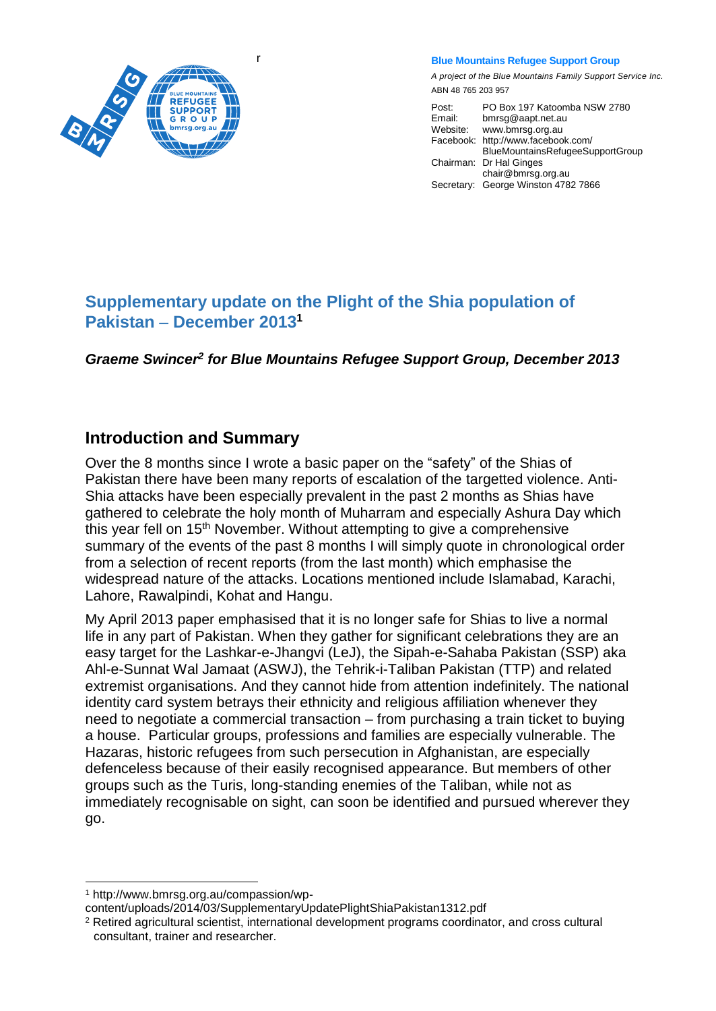

r

**Blue Mountains Refugee Support Group**

*A project of the Blue Mountains Family Support Service Inc.* ABN 48 765 203 957

Post: PO Box 197 Katoomba NSW 2780<br>Email: bmrsq@aapt.net.au bmrsg@aapt.net.au Website: www.bmrsg.org.au Facebook: http://www.facebook.com/ BlueMountainsRefugeeSupportGroup Chairman: Dr Hal Ginges chair@bmrsg.org.au Secretary: George Winston 4782 7866

## **Supplementary update on the Plight of the Shia population of Pakistan** – December 2013<sup>1</sup>

Graeme Swincer<sup>2</sup> for Blue Mountains Refugee Support Group, December 2013

## **Introduction and Summary**

Over the 8 months since I wrote a basic paper on the "safety" of the Shias of Pakistan there have been many reports of escalation of the targetted violence. Anti-Shia attacks have been especially prevalent in the past 2 months as Shias have gathered to celebrate the holy month of Muharram and especially Ashura Day which this year fell on 15th November. Without attempting to give a comprehensive summary of the events of the past 8 months I will simply quote in chronological order from a selection of recent reports (from the last month) which emphasise the widespread nature of the attacks. Locations mentioned include Islamabad, Karachi, Lahore, Rawalpindi, Kohat and Hangu.

My April 2013 paper emphasised that it is no longer safe for Shias to live a normal life in any part of Pakistan. When they gather for significant celebrations they are an easy target for the Lashkar-e-Jhangvi (LeJ), the Sipah-e-Sahaba Pakistan (SSP) aka Ahl-e-Sunnat Wal Jamaat (ASWJ), the Tehrik-i-Taliban Pakistan (TTP) and related extremist organisations. And they cannot hide from attention indefinitely. The national identity card system betrays their ethnicity and religious affiliation whenever they need to negotiate a commercial transaction – from purchasing a train ticket to buying a house. Particular groups, professions and families are especially vulnerable. The Hazaras, historic refugees from such persecution in Afghanistan, are especially defenceless because of their easily recognised appearance. But members of other groups such as the Turis, long-standing enemies of the Taliban, while not as immediately recognisable on sight, can soon be identified and pursued wherever they go.

l <sup>1</sup> http://www.bmrsg.org.au/compassion/wp-

content/uploads/2014/03/SupplementaryUpdatePlightShiaPakistan1312.pdf

<sup>2</sup> Retired agricultural scientist, international development programs coordinator, and cross cultural consultant, trainer and researcher.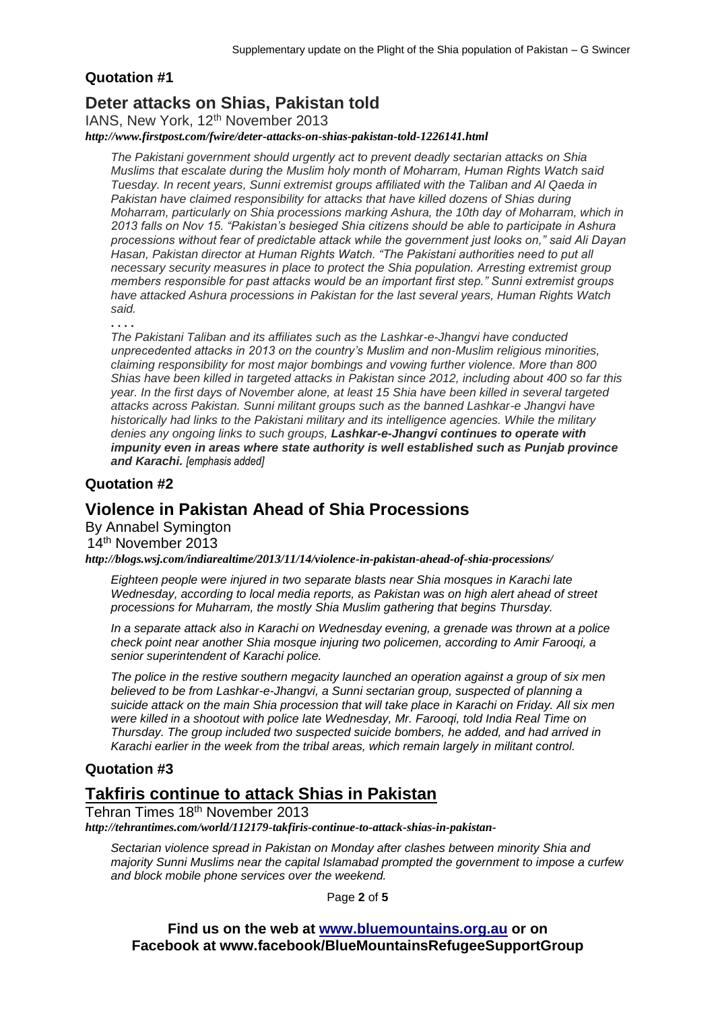#### **Quotation #1**

### **Deter attacks on Shias, Pakistan told**

IANS, New York, 12<sup>th</sup> November 2013

*http://www.firstpost.com/fwire/deter-attacks-on-shias-pakistan-told-1226141.html*

*The Pakistani government should urgently act to prevent deadly sectarian attacks on Shia Muslims that escalate during the Muslim holy month of Moharram, Human Rights Watch said Tuesday. In recent years, Sunni extremist groups affiliated with the Taliban and Al Qaeda in Pakistan have claimed responsibility for attacks that have killed dozens of Shias during Moharram, particularly on Shia processions marking Ashura, the 10th day of Moharram, which in 2013 falls on Nov 15. "Pakistan's besieged Shia citizens should be able to participate in Ashura processions without fear of predictable attack while the government just looks on," said Ali Dayan Hasan, Pakistan director at Human Rights Watch. "The Pakistani authorities need to put all necessary security measures in place to protect the Shia population. Arresting extremist group members responsible for past attacks would be an important first step." Sunni extremist groups have attacked Ashura processions in Pakistan for the last several years, Human Rights Watch said.*

**. . . .** 

*The Pakistani Taliban and its affiliates such as the Lashkar-e-Jhangvi have conducted unprecedented attacks in 2013 on the country's Muslim and non-Muslim religious minorities, claiming responsibility for most major bombings and vowing further violence. More than 800 Shias have been killed in targeted attacks in Pakistan since 2012, including about 400 so far this year. In the first days of November alone, at least 15 Shia have been killed in several targeted attacks across Pakistan. Sunni militant groups such as the banned Lashkar-e Jhangvi have historically had links to the Pakistani military and its intelligence agencies. While the military denies any ongoing links to such groups, Lashkar-e-Jhangvi continues to operate with impunity even in areas where state authority is well established such as Punjab province and Karachi. [emphasis added]*

#### **Quotation #2**

### **Violence in Pakistan Ahead of Shia Processions**

By Annabel Symington 14th November 2013

*http://blogs.wsj.com/indiarealtime/2013/11/14/violence-in-pakistan-ahead-of-shia-processions/*

*Eighteen people were injured in two separate blasts near Shia mosques in Karachi late Wednesday, according to local media reports, as Pakistan was on high alert ahead of street processions for Muharram, the mostly Shia Muslim gathering that begins Thursday.*

*In a separate attack also in Karachi on Wednesday evening, a grenade was thrown at a police check point near another Shia mosque injuring two policemen, according to Amir Farooqi, a senior superintendent of Karachi police.*

*The police in the restive southern megacity launched an operation against a group of six men believed to be from Lashkar-e-Jhangvi, a Sunni sectarian group, suspected of planning a suicide attack on the main Shia procession that will take place in Karachi on Friday. All six men were killed in a shootout with police late Wednesday, Mr. Farooqi, told India Real Time on Thursday. The group included two suspected suicide bombers, he added, and had arrived in Karachi earlier in the week from the tribal areas, which remain largely in militant control.*

#### **Quotation #3**

### **[Takfiris continue to attack Shias in Pakistan](http://tehrantimes.com/world/112179-takfiris-continue-to-attack-shias-in-pakistan-)**

Tehran Times 18<sup>th</sup> November 2013

*http://tehrantimes.com/world/112179-takfiris-continue-to-attack-shias-in-pakistan-*

*Sectarian violence spread in Pakistan on Monday after clashes between minority Shia and majority Sunni Muslims near the capital Islamabad prompted the government to impose a curfew and block mobile phone services over the weekend.*

Page **2** of **5**

**Find us on the web at [www.bluemountains.org.au](http://www.bluemountains.org.au/) or on Facebook at www.facebook/BlueMountainsRefugeeSupportGroup**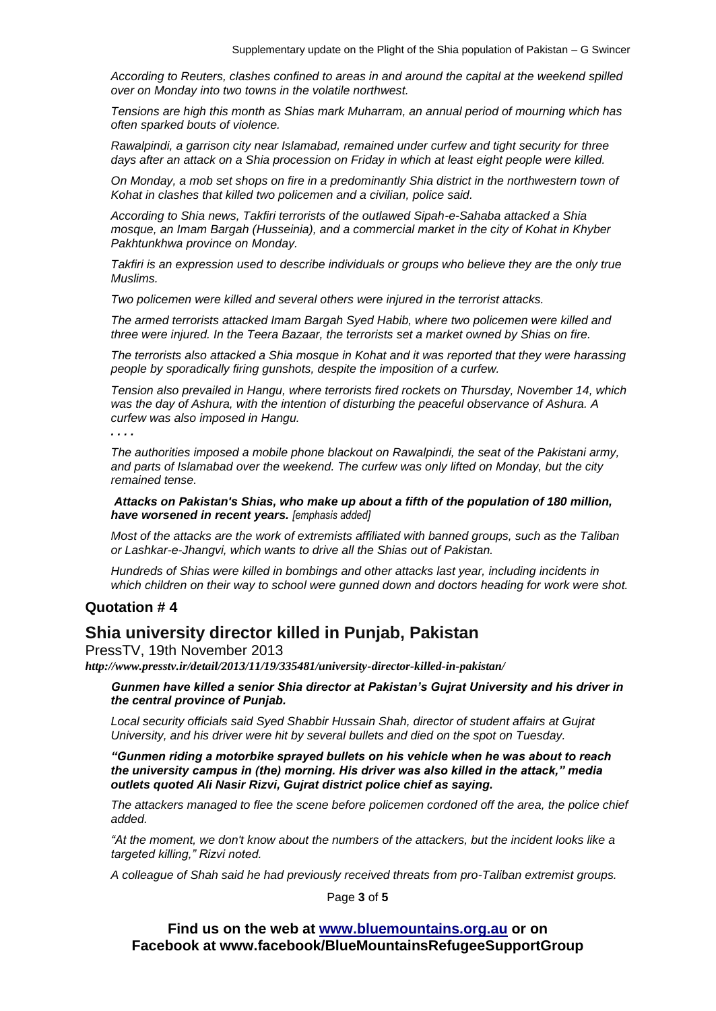*According to Reuters, clashes confined to areas in and around the capital at the weekend spilled over on Monday into two towns in the volatile northwest.*

*Tensions are high this month as Shias mark Muharram, an annual period of mourning which has often sparked bouts of violence.*

*Rawalpindi, a garrison city near Islamabad, remained under curfew and tight security for three days after an attack on a Shia procession on Friday in which at least eight people were killed.*

*On Monday, a mob set shops on fire in a predominantly Shia district in the northwestern town of Kohat in clashes that killed two policemen and a civilian, police said.*

*According to Shia news, Takfiri terrorists of the outlawed Sipah-e-Sahaba attacked a Shia mosque, an Imam Bargah (Husseinia), and a commercial market in the city of Kohat in Khyber Pakhtunkhwa province on Monday.*

*Takfiri is an expression used to describe individuals or groups who believe they are the only true Muslims.* 

*Two policemen were killed and several others were injured in the terrorist attacks.*

*The armed terrorists attacked Imam Bargah Syed Habib, where two policemen were killed and three were injured. In the Teera Bazaar, the terrorists set a market owned by Shias on fire.*

*The terrorists also attacked a Shia mosque in Kohat and it was reported that they were harassing people by sporadically firing gunshots, despite the imposition of a curfew.*

*Tension also prevailed in Hangu, where terrorists fired rockets on Thursday, November 14, which was the day of Ashura, with the intention of disturbing the peaceful observance of Ashura. A curfew was also imposed in Hangu.*

*. . . .* 

*The authorities imposed a mobile phone blackout on Rawalpindi, the seat of the Pakistani army, and parts of Islamabad over the weekend. The curfew was only lifted on Monday, but the city remained tense.*

*Attacks on Pakistan's Shias, who make up about a fifth of the population of 180 million, have worsened in recent years. [emphasis added]*

*Most of the attacks are the work of extremists affiliated with banned groups, such as the Taliban or Lashkar-e-Jhangvi, which wants to drive all the Shias out of Pakistan.*

*Hundreds of Shias were killed in bombings and other attacks last year, including incidents in which children on their way to school were gunned down and doctors heading for work were shot.*

#### **Quotation # 4**

### **Shia university director killed in Punjab, Pakistan**

PressTV, 19th November 2013

*http://www.presstv.ir/detail/2013/11/19/335481/university-director-killed-in-pakistan/*

*Gunmen have killed a senior Shia director at Pakistan's Gujrat University and his driver in the central province of Punjab.*

*Local security officials said Syed Shabbir Hussain Shah, director of student affairs at Gujrat University, and his driver were hit by several bullets and died on the spot on Tuesday.*

*"Gunmen riding a motorbike sprayed bullets on his vehicle when he was about to reach the university campus in (the) morning. His driver was also killed in the attack," media outlets quoted Ali Nasir Rizvi, Gujrat district police chief as saying.*

*The attackers managed to flee the scene before policemen cordoned off the area, the police chief added.*

*"At the moment, we don't know about the numbers of the attackers, but the incident looks like a targeted killing," Rizvi noted.*

*A colleague of Shah said he had previously received threats from pro-Taliban extremist groups.*

Page **3** of **5**

**Find us on the web at [www.bluemountains.org.au](http://www.bluemountains.org.au/) or on Facebook at www.facebook/BlueMountainsRefugeeSupportGroup**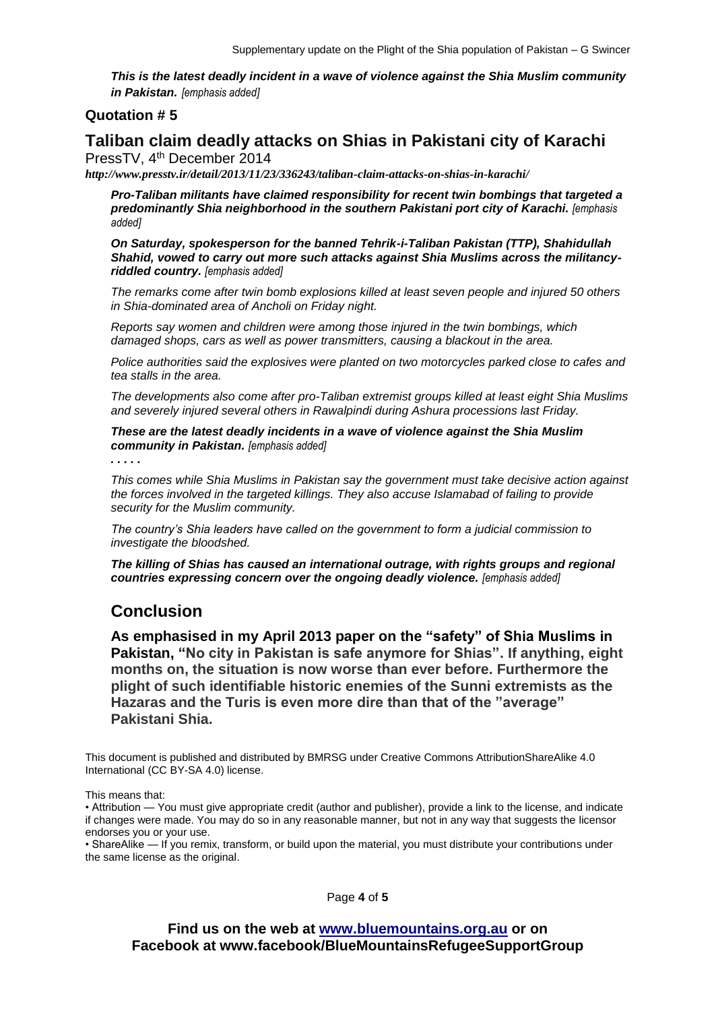*This is the latest deadly incident in a wave of violence against the Shia Muslim community in Pakistan. [emphasis added]*

#### **Quotation # 5**

# **Taliban claim deadly attacks on Shias in Pakistani city of Karachi**

PressTV, 4<sup>th</sup> December 2014

*http://www.presstv.ir/detail/2013/11/23/336243/taliban-claim-attacks-on-shias-in-karachi/*

*Pro-Taliban militants have claimed responsibility for recent twin bombings that targeted a predominantly Shia neighborhood in the southern Pakistani port city of Karachi. [emphasis added]*

*On Saturday, spokesperson for the banned Tehrik-i-Taliban Pakistan (TTP), Shahidullah Shahid, vowed to carry out more such attacks against Shia Muslims across the militancyriddled country. [emphasis added]*

*The remarks come after twin bomb explosions killed at least seven people and injured 50 others in Shia-dominated area of Ancholi on Friday night.*

*Reports say women and children were among those injured in the twin bombings, which damaged shops, cars as well as power transmitters, causing a blackout in the area.*

*Police authorities said the explosives were planted on two motorcycles parked close to cafes and tea stalls in the area.*

*The developments also come after pro-Taliban extremist groups killed at least eight Shia Muslims and severely injured several others in Rawalpindi during Ashura processions last Friday.*

*These are the latest deadly incidents in a wave of violence against the Shia Muslim community in Pakistan. [emphasis added]*

*. . . . .* 

*This comes while Shia Muslims in Pakistan say the government must take decisive action against the forces involved in the targeted killings. They also accuse Islamabad of failing to provide security for the Muslim community.*

*The country's Shia leaders have called on the government to form a judicial commission to investigate the bloodshed.*

*The killing of Shias has caused an international outrage, with rights groups and regional countries expressing concern over the ongoing deadly violence. [emphasis added]*

### **Conclusion**

**As emphasised in my April 2013 paper on the "safety" of Shia Muslims in Pakistan, "No city in Pakistan is safe anymore for Shias". If anything, eight months on, the situation is now worse than ever before. Furthermore the plight of such identifiable historic enemies of the Sunni extremists as the Hazaras and the Turis is even more dire than that of the "average" Pakistani Shia.** 

This document is published and distributed by BMRSG under Creative Commons AttributionShareAlike 4.0 International (CC BY-SA 4.0) license.

This means that:

• Attribution — You must give appropriate credit (author and publisher), provide a link to the license, and indicate if changes were made. You may do so in any reasonable manner, but not in any way that suggests the licensor endorses you or your use.

• ShareAlike — If you remix, transform, or build upon the material, you must distribute your contributions under the same license as the original.

Page **4** of **5**

**Find us on the web at [www.bluemountains.org.au](http://www.bluemountains.org.au/) or on Facebook at www.facebook/BlueMountainsRefugeeSupportGroup**